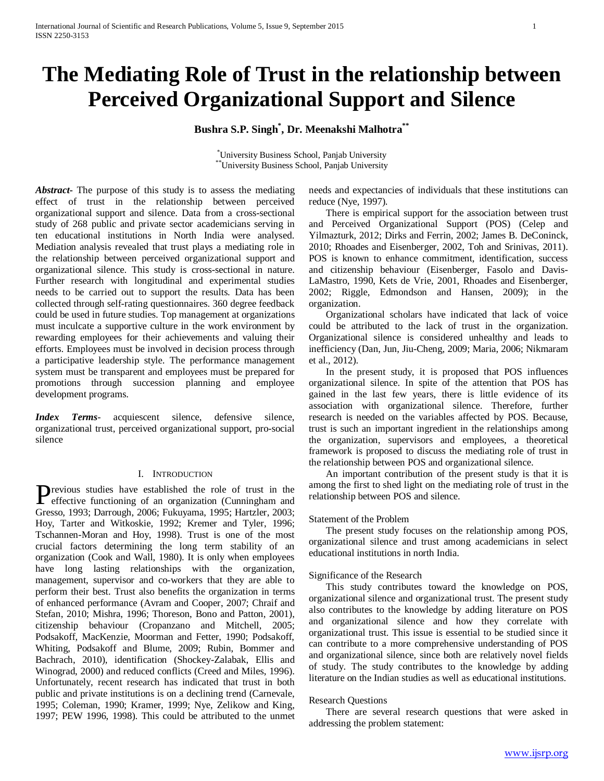# **The Mediating Role of Trust in the relationship between Perceived Organizational Support and Silence**

# **Bushra S.P. Singh\* , Dr. Meenakshi Malhotra\*\***

\* University Business School, Panjab University \*\*University Business School, Panjab University

*Abstract***-** The purpose of this study is to assess the mediating effect of trust in the relationship between perceived organizational support and silence. Data from a cross-sectional study of 268 public and private sector academicians serving in ten educational institutions in North India were analysed. Mediation analysis revealed that trust plays a mediating role in the relationship between perceived organizational support and organizational silence. This study is cross-sectional in nature. Further research with longitudinal and experimental studies needs to be carried out to support the results. Data has been collected through self-rating questionnaires. 360 degree feedback could be used in future studies. Top management at organizations must inculcate a supportive culture in the work environment by rewarding employees for their achievements and valuing their efforts. Employees must be involved in decision process through a participative leadership style. The performance management system must be transparent and employees must be prepared for promotions through succession planning and employee development programs.

*Index Terms*- acquiescent silence, defensive silence, organizational trust, perceived organizational support, pro-social silence

## I. INTRODUCTION

revious studies have established the role of trust in the **P** effective functioning of an organization (Cunningham and  $\sum_{n=1}^{\infty} P_n$ ) Gresso, 1993; Darrough, 2006; Fukuyama, 1995; Hartzler, 2003; Hoy, Tarter and Witkoskie, 1992; Kremer and Tyler, 1996; Tschannen-Moran and Hoy, 1998). Trust is one of the most crucial factors determining the long term stability of an organization (Cook and Wall, 1980). It is only when employees have long lasting relationships with the organization, management, supervisor and co-workers that they are able to perform their best. Trust also benefits the organization in terms of enhanced performance (Avram and Cooper, 2007; Chraif and Stefan, 2010; Mishra, 1996; Thoreson, Bono and Patton, 2001), citizenship behaviour (Cropanzano and Mitchell, 2005; Podsakoff, MacKenzie, Moorman and Fetter, 1990; Podsakoff, Whiting, Podsakoff and Blume, 2009; Rubin, Bommer and Bachrach, 2010), identification (Shockey-Zalabak, Ellis and Winograd, 2000) and reduced conflicts (Creed and Miles, 1996). Unfortunately, recent research has indicated that trust in both public and private institutions is on a declining trend (Carnevale, 1995; Coleman, 1990; Kramer, 1999; Nye, Zelikow and King, 1997; PEW 1996, 1998). This could be attributed to the unmet

needs and expectancies of individuals that these institutions can reduce (Nye, 1997).

 There is empirical support for the association between trust and Perceived Organizational Support (POS) (Celep and Yilmazturk, 2012; Dirks and Ferrin, 2002; James B. DeConinck, 2010; Rhoades and Eisenberger, 2002, Toh and Srinivas, 2011). POS is known to enhance commitment, identification, success and citizenship behaviour (Eisenberger, Fasolo and Davis-LaMastro, 1990, Kets de Vrie, 2001, Rhoades and Eisenberger, 2002; Riggle, Edmondson and Hansen, 2009); in the organization.

 Organizational scholars have indicated that lack of voice could be attributed to the lack of trust in the organization. Organizational silence is considered unhealthy and leads to inefficiency (Dan, Jun, Jiu-Cheng, 2009; Maria, 2006; Nikmaram et al., 2012).

 In the present study, it is proposed that POS influences organizational silence. In spite of the attention that POS has gained in the last few years, there is little evidence of its association with organizational silence. Therefore, further research is needed on the variables affected by POS. Because, trust is such an important ingredient in the relationships among the organization, supervisors and employees, a theoretical framework is proposed to discuss the mediating role of trust in the relationship between POS and organizational silence.

 An important contribution of the present study is that it is among the first to shed light on the mediating role of trust in the relationship between POS and silence.

# Statement of the Problem

 The present study focuses on the relationship among POS, organizational silence and trust among academicians in select educational institutions in north India.

# Significance of the Research

 This study contributes toward the knowledge on POS, organizational silence and organizational trust. The present study also contributes to the knowledge by adding literature on POS and organizational silence and how they correlate with organizational trust. This issue is essential to be studied since it can contribute to a more comprehensive understanding of POS and organizational silence, since both are relatively novel fields of study. The study contributes to the knowledge by adding literature on the Indian studies as well as educational institutions.

# Research Questions

 There are several research questions that were asked in addressing the problem statement: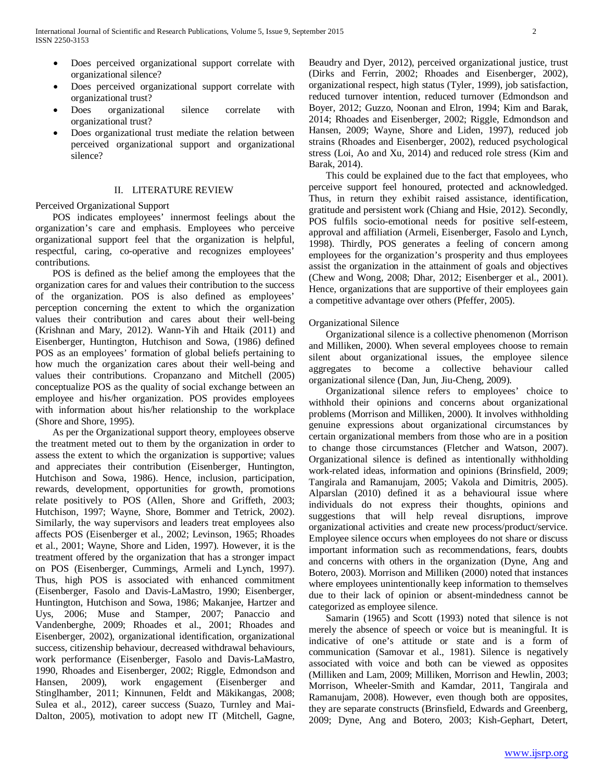- Does perceived organizational support correlate with organizational silence?
- Does perceived organizational support correlate with organizational trust?
- Does organizational silence correlate with organizational trust?
- Does organizational trust mediate the relation between perceived organizational support and organizational silence?

# II. LITERATURE REVIEW

# Perceived Organizational Support

 POS indicates employees' innermost feelings about the organization's care and emphasis. Employees who perceive organizational support feel that the organization is helpful, respectful, caring, co-operative and recognizes employees' contributions.

 POS is defined as the belief among the employees that the organization cares for and values their contribution to the success of the organization. POS is also defined as employees' perception concerning the extent to which the organization values their contribution and cares about their well-being (Krishnan and Mary, 2012). Wann-Yih and Htaik (2011) and Eisenberger, Huntington, Hutchison and Sowa, (1986) defined POS as an employees' formation of global beliefs pertaining to how much the organization cares about their well-being and values their contributions. Cropanzano and Mitchell (2005) conceptualize POS as the quality of social exchange between an employee and his/her organization. POS provides employees with information about his/her relationship to the workplace (Shore and Shore, 1995).

 As per the Organizational support theory, employees observe the treatment meted out to them by the organization in order to assess the extent to which the organization is supportive; values and appreciates their contribution (Eisenberger, Huntington, Hutchison and Sowa, 1986). Hence, inclusion, participation, rewards, development, opportunities for growth, promotions relate positively to POS (Allen, Shore and Griffeth, 2003; Hutchison, 1997; Wayne, Shore, Bommer and Tetrick, 2002). Similarly, the way supervisors and leaders treat employees also affects POS (Eisenberger et al., 2002; Levinson, 1965; Rhoades et al., 2001; Wayne, Shore and Liden, 1997). However, it is the treatment offered by the organization that has a stronger impact on POS (Eisenberger, Cummings, Armeli and Lynch, 1997). Thus, high POS is associated with enhanced commitment (Eisenberger, Fasolo and Davis-LaMastro, 1990; Eisenberger, Huntington, Hutchison and Sowa, 1986; Makanjee, Hartzer and Uys, 2006; Muse and Stamper, 2007; Panaccio and Vandenberghe, 2009; Rhoades et al., 2001; Rhoades and Eisenberger, 2002), organizational identification, organizational success, citizenship behaviour, decreased withdrawal behaviours, work performance (Eisenberger, Fasolo and Davis-LaMastro, 1990, Rhoades and Eisenberger, 2002; Riggle, Edmondson and Hansen, 2009), work engagement (Eisenberger and Stinglhamber, 2011; Kinnunen, Feldt and Mäkikangas, 2008; Sulea et al., 2012), career success (Suazo, Turnley and Mai-Dalton, 2005), motivation to adopt new IT (Mitchell, Gagne, Beaudry and Dyer, 2012), perceived organizational justice, trust (Dirks and Ferrin, 2002; Rhoades and Eisenberger, 2002), organizational respect, high status (Tyler, 1999), job satisfaction, reduced turnover intention, reduced turnover (Edmondson and Boyer, 2012; Guzzo, Noonan and Elron, 1994; Kim and Barak, 2014; Rhoades and Eisenberger, 2002; Riggle, Edmondson and Hansen, 2009; Wayne, Shore and Liden, 1997), reduced job strains (Rhoades and Eisenberger, 2002), reduced psychological stress (Loi, Ao and Xu, 2014) and reduced role stress (Kim and Barak, 2014).

 This could be explained due to the fact that employees, who perceive support feel honoured, protected and acknowledged. Thus, in return they exhibit raised assistance, identification, gratitude and persistent work (Chiang and Hsie, 2012). Secondly, POS fulfils socio-emotional needs for positive self-esteem, approval and affiliation (Armeli, Eisenberger, Fasolo and Lynch, 1998). Thirdly, POS generates a feeling of concern among employees for the organization's prosperity and thus employees assist the organization in the attainment of goals and objectives (Chew and Wong, 2008; Dhar, 2012; Eisenberger et al., 2001). Hence, organizations that are supportive of their employees gain a competitive advantage over others (Pfeffer, 2005).

# Organizational Silence

 Organizational silence is a collective phenomenon (Morrison and Milliken, 2000). When several employees choose to remain silent about organizational issues, the employee silence aggregates to become a collective behaviour called organizational silence (Dan, Jun, Jiu-Cheng, 2009).

 Organizational silence refers to employees' choice to withhold their opinions and concerns about organizational problems (Morrison and Milliken, 2000). It involves withholding genuine expressions about organizational circumstances by certain organizational members from those who are in a position to change those circumstances (Fletcher and Watson, 2007). Organizational silence is defined as intentionally withholding work-related ideas, information and opinions (Brinsfield, 2009; Tangirala and Ramanujam, 2005; Vakola and Dimitris, 2005). Alparslan (2010) defined it as a behavioural issue where individuals do not express their thoughts, opinions and suggestions that will help reveal disruptions, improve organizational activities and create new process/product/service. Employee silence occurs when employees do not share or discuss important information such as recommendations, fears, doubts and concerns with others in the organization (Dyne, Ang and Botero, 2003). Morrison and Milliken (2000) noted that instances where employees unintentionally keep information to themselves due to their lack of opinion or absent-mindedness cannot be categorized as employee silence.

 Samarin (1965) and Scott (1993) noted that silence is not merely the absence of speech or voice but is meaningful. It is indicative of one's attitude or state and is a form of communication (Samovar et al., 1981). Silence is negatively associated with voice and both can be viewed as opposites (Milliken and Lam, 2009; Milliken, Morrison and Hewlin, 2003; Morrison, Wheeler-Smith and Kamdar, 2011, Tangirala and Ramanujam, 2008). However, even though both are opposites, they are separate constructs (Brinsfield, Edwards and Greenberg, 2009; Dyne, Ang and Botero, 2003; Kish-Gephart, Detert,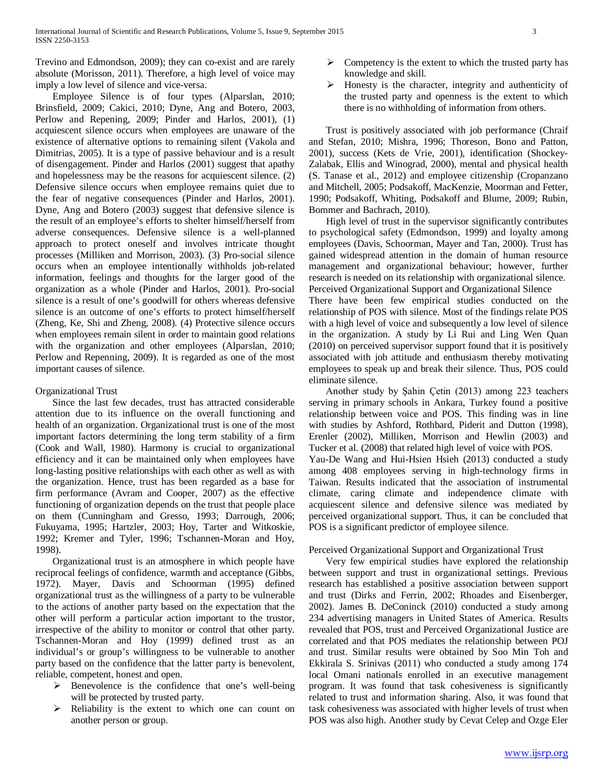Trevino and Edmondson, 2009); they can co-exist and are rarely absolute (Morisson, 2011). Therefore, a high level of voice may imply a low level of silence and vice-versa.

 Employee Silence is of four types (Alparslan, 2010; Brinsfield, 2009; Cakici, 2010; Dyne, Ang and Botero, 2003, Perlow and Repening, 2009; Pinder and Harlos, 2001), (1) acquiescent silence occurs when employees are unaware of the existence of alternative options to remaining silent (Vakola and Dimitrias, 2005). It is a type of passive behaviour and is a result of disengagement. Pinder and Harlos (2001) suggest that apathy and hopelessness may be the reasons for acquiescent silence. (2) Defensive silence occurs when employee remains quiet due to the fear of negative consequences (Pinder and Harlos, 2001). Dyne, Ang and Botero (2003) suggest that defensive silence is the result of an employee's efforts to shelter himself/herself from adverse consequences. Defensive silence is a well-planned approach to protect oneself and involves intricate thought processes (Milliken and Morrison, 2003). (3) Pro-social silence occurs when an employee intentionally withholds job-related information, feelings and thoughts for the larger good of the organization as a whole (Pinder and Harlos, 2001). Pro-social silence is a result of one's goodwill for others whereas defensive silence is an outcome of one's efforts to protect himself/herself (Zheng, Ke, Shi and Zheng, 2008). (4) Protective silence occurs when employees remain silent in order to maintain good relations with the organization and other employees (Alparslan, 2010; Perlow and Repenning, 2009). It is regarded as one of the most important causes of silence.

## Organizational Trust

 Since the last few decades, trust has attracted considerable attention due to its influence on the overall functioning and health of an organization. Organizational trust is one of the most important factors determining the long term stability of a firm (Cook and Wall, 1980). Harmony is crucial to organizational efficiency and it can be maintained only when employees have long-lasting positive relationships with each other as well as with the organization. Hence, trust has been regarded as a base for firm performance (Avram and Cooper, 2007) as the effective functioning of organization depends on the trust that people place on them (Cunningham and Gresso, 1993; Darrough, 2006; Fukuyama, 1995; Hartzler, 2003; Hoy, Tarter and Witkoskie, 1992; Kremer and Tyler, 1996; Tschannen-Moran and Hoy, 1998).

 Organizational trust is an atmosphere in which people have reciprocal feelings of confidence, warmth and acceptance (Gibbs, 1972). Mayer, Davis and Schoorman (1995) defined organizational trust as the willingness of a party to be vulnerable to the actions of another party based on the expectation that the other will perform a particular action important to the trustor, irrespective of the ability to monitor or control that other party. Tschannen-Moran and Hoy (1999) defined trust as an individual's or group's willingness to be vulnerable to another party based on the confidence that the latter party is benevolent, reliable, competent, honest and open.

- $\triangleright$  Benevolence is the confidence that one's well-being will be protected by trusted party.
- $\triangleright$  Reliability is the extent to which one can count on another person or group.
- $\triangleright$  Competency is the extent to which the trusted party has knowledge and skill.
- Honesty is the character, integrity and authenticity of the trusted party and openness is the extent to which there is no withholding of information from others.

 Trust is positively associated with job performance (Chraif and Stefan, 2010; Mishra, 1996; Thoreson, Bono and Patton, 2001), success (Kets de Vrie, 2001), identification (Shockey-Zalabak, Ellis and Winograd, 2000), mental and physical health (S. Tanase et al., 2012) and employee citizenship (Cropanzano and Mitchell, 2005; Podsakoff, MacKenzie, Moorman and Fetter, 1990; Podsakoff, Whiting, Podsakoff and Blume, 2009; Rubin, Bommer and Bachrach, 2010).

 High level of trust in the supervisor significantly contributes to psychological safety (Edmondson, 1999) and loyalty among employees (Davis, Schoorman, Mayer and Tan, 2000). Trust has gained widespread attention in the domain of human resource management and organizational behaviour; however, further research is needed on its relationship with organizational silence. Perceived Organizational Support and Organizational Silence

There have been few empirical studies conducted on the relationship of POS with silence. Most of the findings relate POS with a high level of voice and subsequently a low level of silence in the organization. A study by Li Rui and Ling Wen Quan (2010) on perceived supervisor support found that it is positively associated with job attitude and enthusiasm thereby motivating employees to speak up and break their silence. Thus, POS could eliminate silence.

 Another study by Şahin Çetin (2013) among 223 teachers serving in primary schools in Ankara, Turkey found a positive relationship between voice and POS. This finding was in line with studies by Ashford, Rothbard, Piderit and Dutton (1998), Erenler (2002), Milliken, Morrison and Hewlin (2003) and Tucker et al. (2008) that related high level of voice with POS. Yau-De Wang and Hui-Hsien Hsieh (2013) conducted a study among 408 employees serving in high-technology firms in Taiwan. Results indicated that the association of instrumental climate, caring climate and independence climate with acquiescent silence and defensive silence was mediated by perceived organizational support. Thus, it can be concluded that POS is a significant predictor of employee silence.

## Perceived Organizational Support and Organizational Trust

 Very few empirical studies have explored the relationship between support and trust in organizational settings. Previous research has established a positive association between support and trust (Dirks and Ferrin, 2002; Rhoades and Eisenberger, 2002). James B. DeConinck (2010) conducted a study among 234 advertising managers in United States of America. Results revealed that POS, trust and Perceived Organizational Justice are correlated and that POS mediates the relationship between POJ and trust. Similar results were obtained by Soo Min Toh and Ekkirala S. Srinivas (2011) who conducted a study among 174 local Omani nationals enrolled in an executive management program. It was found that task cohesiveness is significantly related to trust and information sharing. Also, it was found that task cohesiveness was associated with higher levels of trust when POS was also high. Another study by Cevat Celep and Ozge Eler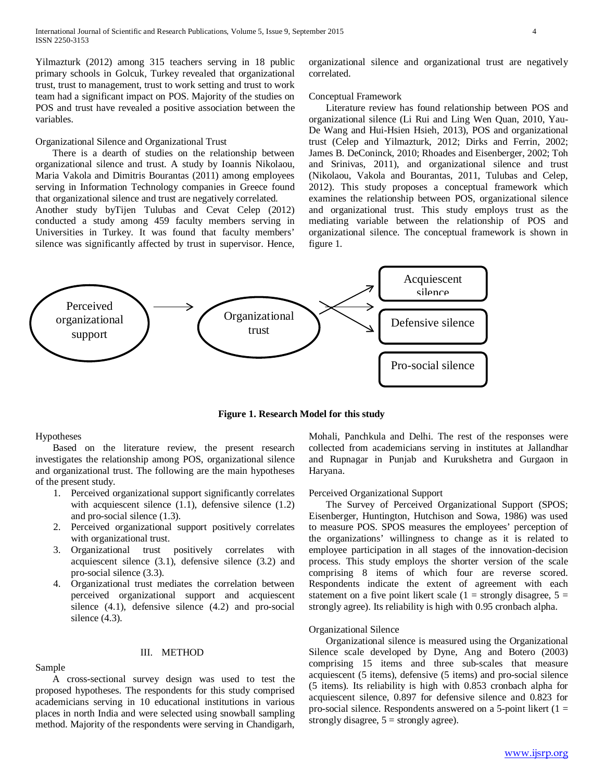Yilmazturk (2012) among 315 teachers serving in 18 public primary schools in Golcuk, Turkey revealed that organizational trust, trust to management, trust to work setting and trust to work team had a significant impact on POS. Majority of the studies on POS and trust have revealed a positive association between the variables.

## Organizational Silence and Organizational Trust

 There is a dearth of studies on the relationship between organizational silence and trust. A study by Ioannis Nikolaou, Maria Vakola and Dimitris Bourantas (2011) among employees serving in Information Technology companies in Greece found that organizational silence and trust are negatively correlated.

Another study byTijen Tulubas and Cevat Celep (2012) conducted a study among 459 faculty members serving in Universities in Turkey. It was found that faculty members' silence was significantly affected by trust in supervisor. Hence, organizational silence and organizational trust are negatively correlated.

### Conceptual Framework

 Literature review has found relationship between POS and organizational silence (Li Rui and Ling Wen Quan, 2010, Yau-De Wang and Hui-Hsien Hsieh, 2013), POS and organizational trust (Celep and Yilmazturk, 2012; Dirks and Ferrin, 2002; James B. DeConinck, 2010; Rhoades and Eisenberger, 2002; Toh and Srinivas, 2011), and organizational silence and trust (Nikolaou, Vakola and Bourantas, 2011, Tulubas and Celep, 2012). This study proposes a conceptual framework which examines the relationship between POS, organizational silence and organizational trust. This study employs trust as the mediating variable between the relationship of POS and organizational silence. The conceptual framework is shown in figure 1.



**Figure 1. Research Model for this study**

#### Hypotheses

 Based on the literature review, the present research investigates the relationship among POS, organizational silence and organizational trust. The following are the main hypotheses of the present study.

- 1. Perceived organizational support significantly correlates with acquiescent silence (1.1), defensive silence (1.2) and pro-social silence (1.3).
- 2. Perceived organizational support positively correlates with organizational trust.
- 3. Organizational trust positively correlates with acquiescent silence (3.1), defensive silence (3.2) and pro-social silence (3.3).
- 4. Organizational trust mediates the correlation between perceived organizational support and acquiescent silence (4.1), defensive silence (4.2) and pro-social silence  $(4.3)$ .

## Sample

#### III. METHOD

 A cross-sectional survey design was used to test the proposed hypotheses. The respondents for this study comprised academicians serving in 10 educational institutions in various places in north India and were selected using snowball sampling method. Majority of the respondents were serving in Chandigarh,

Mohali, Panchkula and Delhi. The rest of the responses were collected from academicians serving in institutes at Jallandhar and Rupnagar in Punjab and Kurukshetra and Gurgaon in Haryana.

### Perceived Organizational Support

 The Survey of Perceived Organizational Support (SPOS; Eisenberger, Huntington, Hutchison and Sowa, 1986) was used to measure POS. SPOS measures the employees' perception of the organizations' willingness to change as it is related to employee participation in all stages of the innovation-decision process. This study employs the shorter version of the scale comprising 8 items of which four are reverse scored. Respondents indicate the extent of agreement with each statement on a five point likert scale (1 = strongly disagree,  $5 =$ strongly agree). Its reliability is high with 0.95 cronbach alpha.

## Organizational Silence

 Organizational silence is measured using the Organizational Silence scale developed by Dyne, Ang and Botero (2003) comprising 15 items and three sub-scales that measure acquiescent (5 items), defensive (5 items) and pro-social silence (5 items). Its reliability is high with 0.853 cronbach alpha for acquiescent silence, 0.897 for defensive silence and 0.823 for pro-social silence. Respondents answered on a 5-point likert  $(1 =$ strongly disagree,  $5 =$  strongly agree).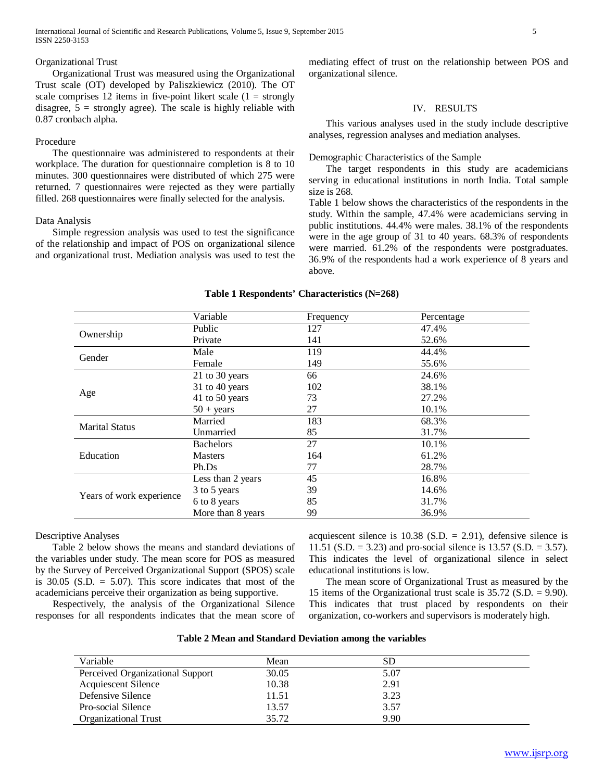International Journal of Scientific and Research Publications, Volume 5, Issue 9, September 2015 5 ISSN 2250-3153

#### Organizational Trust

 Organizational Trust was measured using the Organizational Trust scale (OT) developed by Paliszkiewicz (2010). The OT scale comprises 12 items in five-point likert scale  $(1 =$  strongly disagree,  $5 =$  strongly agree). The scale is highly reliable with 0.87 cronbach alpha.

## Procedure

 The questionnaire was administered to respondents at their workplace. The duration for questionnaire completion is 8 to 10 minutes. 300 questionnaires were distributed of which 275 were returned. 7 questionnaires were rejected as they were partially filled. 268 questionnaires were finally selected for the analysis.

## Data Analysis

 Simple regression analysis was used to test the significance of the relationship and impact of POS on organizational silence and organizational trust. Mediation analysis was used to test the mediating effect of trust on the relationship between POS and organizational silence.

## IV. RESULTS

 This various analyses used in the study include descriptive analyses, regression analyses and mediation analyses.

Demographic Characteristics of the Sample

 The target respondents in this study are academicians serving in educational institutions in north India. Total sample size is 268.

Table 1 below shows the characteristics of the respondents in the study. Within the sample, 47.4% were academicians serving in public institutions. 44.4% were males. 38.1% of the respondents were in the age group of 31 to 40 years. 68.3% of respondents were married. 61.2% of the respondents were postgraduates. 36.9% of the respondents had a work experience of 8 years and above.

|                          | Variable            | Frequency | Percentage |
|--------------------------|---------------------|-----------|------------|
| Ownership                | Public              | 127       | 47.4%      |
|                          | Private             | 141       | 52.6%      |
| Gender                   | Male                | 119       | 44.4%      |
|                          | Female              | 149       | 55.6%      |
|                          | 21 to 30 years      | 66        | 24.6%      |
| Age                      | 31 to 40 years      | 102       | 38.1%      |
|                          | 41 to 50 years      | 73        | 27.2%      |
|                          | $50 + \text{years}$ | 27        | 10.1%      |
|                          | Married             | 183       | 68.3%      |
| <b>Marital Status</b>    | Unmarried           | 85        | 31.7%      |
|                          | <b>Bachelors</b>    | 27        | 10.1%      |
| Education                | <b>Masters</b>      | 164       | 61.2%      |
|                          | Ph.Ds               | 77        | 28.7%      |
|                          | Less than 2 years   | 45        | 16.8%      |
| Years of work experience | 3 to 5 years        | 39        | 14.6%      |
|                          | 6 to 8 years        | 85        | 31.7%      |
|                          | More than 8 years   | 99        | 36.9%      |

#### **Table 1 Respondents' Characteristics (N=268)**

Descriptive Analyses

 Table 2 below shows the means and standard deviations of the variables under study. The mean score for POS as measured by the Survey of Perceived Organizational Support (SPOS) scale is  $30.05$  (S.D. = 5.07). This score indicates that most of the academicians perceive their organization as being supportive.

 Respectively, the analysis of the Organizational Silence responses for all respondents indicates that the mean score of acquiescent silence is  $10.38$  (S.D. = 2.91), defensive silence is 11.51 (S.D. = 3.23) and pro-social silence is 13.57 (S.D. = 3.57). This indicates the level of organizational silence in select educational institutions is low.

 The mean score of Organizational Trust as measured by the 15 items of the Organizational trust scale is 35.72 (S.D. = 9.90). This indicates that trust placed by respondents on their organization, co-workers and supervisors is moderately high.

| Variable                         | Mean  | SD   |  |
|----------------------------------|-------|------|--|
| Perceived Organizational Support | 30.05 | 5.07 |  |
| <b>Acquiescent Silence</b>       | 10.38 | 2.91 |  |
| Defensive Silence                | 11.51 | 3.23 |  |
| Pro-social Silence               | 13.57 | 3.57 |  |
| Organizational Trust             | 35.72 | 9.90 |  |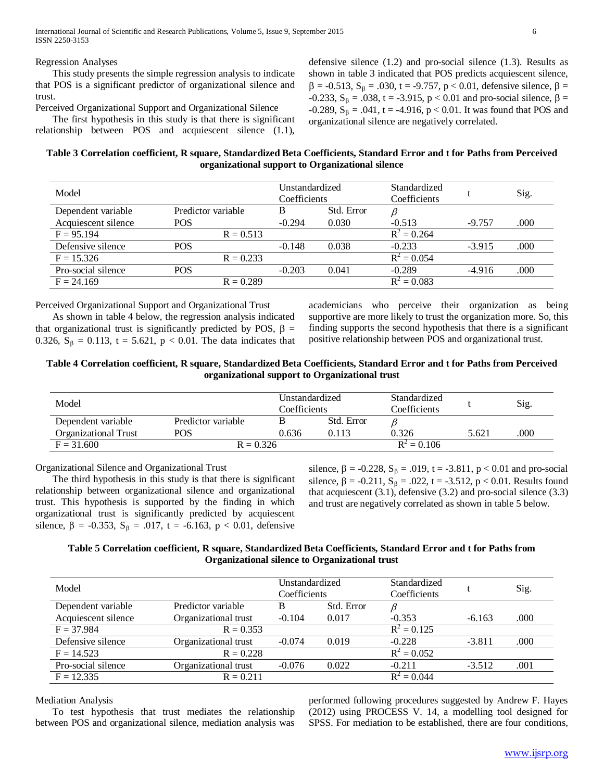Regression Analyses

 This study presents the simple regression analysis to indicate that POS is a significant predictor of organizational silence and trust.

Perceived Organizational Support and Organizational Silence

 The first hypothesis in this study is that there is significant relationship between POS and acquiescent silence (1.1),

defensive silence (1.2) and pro-social silence (1.3). Results as shown in table 3 indicated that POS predicts acquiescent silence,  $β = -0.513$ ,  $S<sub>β</sub> = .030$ , t = -9.757, p < 0.01, defensive silence,  $β =$ -0.233,  $S_\beta$  = .038, t = -3.915, p < 0.01 and pro-social silence,  $\beta$  =  $-0.289$ ,  $S_\beta = .041$ , t = -4.916, p < 0.01. It was found that POS and organizational silence are negatively correlated.

# **Table 3 Correlation coefficient, R square, Standardized Beta Coefficients, Standard Error and t for Paths from Perceived organizational support to Organizational silence**

| Model               | Unstandardized<br>Coefficients |          | Standardized<br>Coefficients |               | Sig.     |      |
|---------------------|--------------------------------|----------|------------------------------|---------------|----------|------|
| Dependent variable  | Predictor variable             | В        | Std. Error                   |               |          |      |
| Acquiescent silence | <b>POS</b>                     | $-0.294$ | 0.030                        | $-0.513$      | $-9.757$ | .000 |
| $F = 95.194$        | $R = 0.513$                    |          |                              | $R^2 = 0.264$ |          |      |
| Defensive silence   | <b>POS</b>                     | $-0.148$ | 0.038                        | $-0.233$      | $-3.915$ | .000 |
| $F = 15.326$        | $R = 0.233$                    |          |                              | $R^2 = 0.054$ |          |      |
| Pro-social silence  | <b>POS</b>                     | $-0.203$ | 0.041                        | $-0.289$      | $-4.916$ | .000 |
| $F = 24.169$        | $R = 0.289$                    |          |                              | $R^2 = 0.083$ |          |      |

Perceived Organizational Support and Organizational Trust

 As shown in table 4 below, the regression analysis indicated that organizational trust is significantly predicted by POS,  $\beta$  = 0.326,  $S_\beta$  = 0.113, t = 5.621, p < 0.01. The data indicates that academicians who perceive their organization as being supportive are more likely to trust the organization more. So, this finding supports the second hypothesis that there is a significant positive relationship between POS and organizational trust.

# **Table 4 Correlation coefficient, R square, Standardized Beta Coefficients, Standard Error and t for Paths from Perceived organizational support to Organizational trust**

| Model                       |                    | Unstandardized<br>Coefficients |               | Standardized<br>Coefficients |       | Sig. |
|-----------------------------|--------------------|--------------------------------|---------------|------------------------------|-------|------|
| Dependent variable          | Predictor variable |                                | Std. Error    |                              |       |      |
| <b>Organizational Trust</b> | POS                | 0.636                          | 0.113         | 0.326                        | 5.621 | .000 |
| $F = 31,600$                | $R = 0.326$        |                                | $R^2 = 0.106$ |                              |       |      |

Organizational Silence and Organizational Trust

 The third hypothesis in this study is that there is significant relationship between organizational silence and organizational trust. This hypothesis is supported by the finding in which organizational trust is significantly predicted by acquiescent silence,  $\beta$  = -0.353,  $S_{\beta}$  = .017, t = -6.163, p < 0.01, defensive

silence,  $\beta$  = -0.228,  $S_{\beta}$  = .019, t = -3.811, p < 0.01 and pro-social silence,  $\beta = -0.211$ ,  $S_{\beta} = .022$ , t = -3.512, p < 0.01. Results found that acquiescent (3.1), defensive (3.2) and pro-social silence (3.3) and trust are negatively correlated as shown in table 5 below.

# **Table 5 Correlation coefficient, R square, Standardized Beta Coefficients, Standard Error and t for Paths from Organizational silence to Organizational trust**

| Model               |                      |          | Unstandardized<br>Coefficients | Standardized<br>Coefficients |          | Sig. |
|---------------------|----------------------|----------|--------------------------------|------------------------------|----------|------|
| Dependent variable  | Predictor variable   | В        | Std. Error                     |                              |          |      |
| Acquiescent silence | Organizational trust | $-0.104$ | 0.017                          | $-0.353$                     | $-6.163$ | .000 |
| $F = 37.984$        | $R = 0.353$          |          |                                | $R^2 = 0.125$                |          |      |
| Defensive silence   | Organizational trust | $-0.074$ | 0.019                          | $-0.228$                     | $-3.811$ | .000 |
| $F = 14.523$        | $R = 0.228$          |          |                                | $R^2 = 0.052$                |          |      |
| Pro-social silence  | Organizational trust | $-0.076$ | 0.022                          | $-0.211$                     | $-3.512$ | .001 |
| $F = 12.335$        | $R = 0.211$          |          |                                | $R^2 = 0.044$                |          |      |

Mediation Analysis

 To test hypothesis that trust mediates the relationship between POS and organizational silence, mediation analysis was

performed following procedures suggested by Andrew F. Hayes (2012) using PROCESS V. 14, a modelling tool designed for SPSS. For mediation to be established, there are four conditions,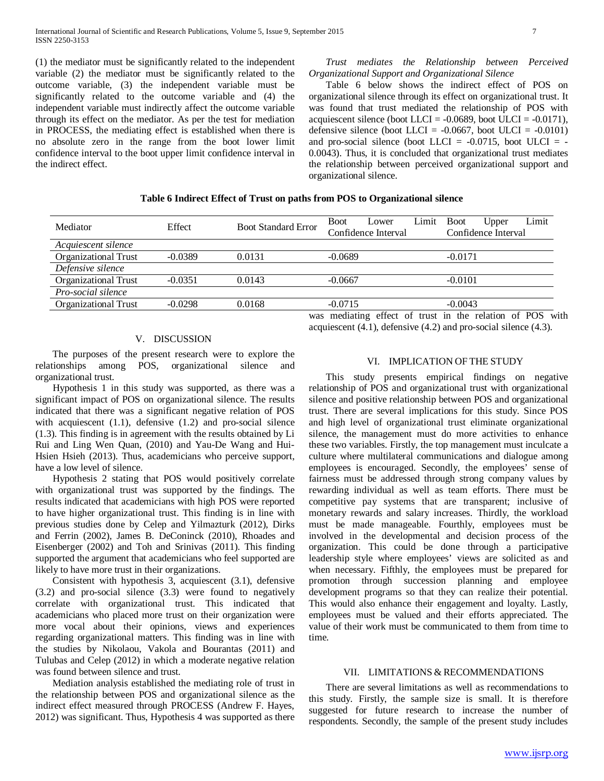(1) the mediator must be significantly related to the independent variable (2) the mediator must be significantly related to the outcome variable, (3) the independent variable must be significantly related to the outcome variable and (4) the independent variable must indirectly affect the outcome variable through its effect on the mediator. As per the test for mediation in PROCESS, the mediating effect is established when there is no absolute zero in the range from the boot lower limit confidence interval to the boot upper limit confidence interval in the indirect effect.

## *Trust mediates the Relationship between Perceived Organizational Support and Organizational Silence*

 Table 6 below shows the indirect effect of POS on organizational silence through its effect on organizational trust. It was found that trust mediated the relationship of POS with acquiescent silence (boot LLCI =  $-0.0689$ , boot ULCI =  $-0.0171$ ), defensive silence (boot LLCI =  $-0.0667$ , boot ULCI =  $-0.0101$ ) and pro-social silence (boot LLCI =  $-0.0715$ , boot ULCI =  $-$ 0.0043). Thus, it is concluded that organizational trust mediates the relationship between perceived organizational support and organizational silence.

# **Table 6 Indirect Effect of Trust on paths from POS to Organizational silence**

| Mediator                    | Effect    | <b>Boot Standard Error</b> | <b>Boot</b><br>Lower                                 | Limit | <b>Boot</b> | Upper               | Limit |      |
|-----------------------------|-----------|----------------------------|------------------------------------------------------|-------|-------------|---------------------|-------|------|
|                             |           |                            | Confidence Interval                                  |       |             | Confidence Interval |       |      |
| Acquiescent silence         |           |                            |                                                      |       |             |                     |       |      |
| <b>Organizational Trust</b> | $-0.0389$ | 0.0131                     | $-0.0689$                                            |       | $-0.0171$   |                     |       |      |
| Defensive silence           |           |                            |                                                      |       |             |                     |       |      |
| <b>Organizational Trust</b> | $-0.0351$ | 0.0143                     | $-0.0667$                                            |       | $-0.0101$   |                     |       |      |
| Pro-social silence          |           |                            |                                                      |       |             |                     |       |      |
| <b>Organizational Trust</b> | $-0.0298$ | 0.0168                     | $-0.0715$                                            |       | $-0.0043$   |                     |       |      |
|                             |           |                            | was mediating effect of trust in the relation of POS |       |             |                     |       | with |

## V. DISCUSSION

 The purposes of the present research were to explore the relationships among POS, organizational silence and organizational trust.

 Hypothesis 1 in this study was supported, as there was a significant impact of POS on organizational silence. The results indicated that there was a significant negative relation of POS with acquiescent (1.1), defensive (1.2) and pro-social silence (1.3). This finding is in agreement with the results obtained by Li Rui and Ling Wen Quan, (2010) and Yau-De Wang and Hui-Hsien Hsieh (2013). Thus, academicians who perceive support, have a low level of silence.

 Hypothesis 2 stating that POS would positively correlate with organizational trust was supported by the findings. The results indicated that academicians with high POS were reported to have higher organizational trust. This finding is in line with previous studies done by Celep and Yilmazturk (2012), Dirks and Ferrin (2002), James B. DeConinck (2010), Rhoades and Eisenberger (2002) and Toh and Srinivas (2011). This finding supported the argument that academicians who feel supported are likely to have more trust in their organizations.

 Consistent with hypothesis 3, acquiescent (3.1), defensive (3.2) and pro-social silence (3.3) were found to negatively correlate with organizational trust. This indicated that academicians who placed more trust on their organization were more vocal about their opinions, views and experiences regarding organizational matters. This finding was in line with the studies by Nikolaou, Vakola and Bourantas (2011) and Tulubas and Celep (2012) in which a moderate negative relation was found between silence and trust.

 Mediation analysis established the mediating role of trust in the relationship between POS and organizational silence as the indirect effect measured through PROCESS (Andrew F. Hayes, 2012) was significant. Thus, Hypothesis 4 was supported as there

# VI. IMPLICATION OF THE STUDY

acquiescent (4.1), defensive (4.2) and pro-social silence (4.3).

 This study presents empirical findings on negative relationship of POS and organizational trust with organizational silence and positive relationship between POS and organizational trust. There are several implications for this study. Since POS and high level of organizational trust eliminate organizational silence, the management must do more activities to enhance these two variables. Firstly, the top management must inculcate a culture where multilateral communications and dialogue among employees is encouraged. Secondly, the employees' sense of fairness must be addressed through strong company values by rewarding individual as well as team efforts. There must be competitive pay systems that are transparent; inclusive of monetary rewards and salary increases. Thirdly, the workload must be made manageable. Fourthly, employees must be involved in the developmental and decision process of the organization. This could be done through a participative leadership style where employees' views are solicited as and when necessary. Fifthly, the employees must be prepared for promotion through succession planning and employee development programs so that they can realize their potential. This would also enhance their engagement and loyalty. Lastly, employees must be valued and their efforts appreciated. The value of their work must be communicated to them from time to time.

## VII. LIMITATIONS & RECOMMENDATIONS

 There are several limitations as well as recommendations to this study. Firstly, the sample size is small. It is therefore suggested for future research to increase the number of respondents. Secondly, the sample of the present study includes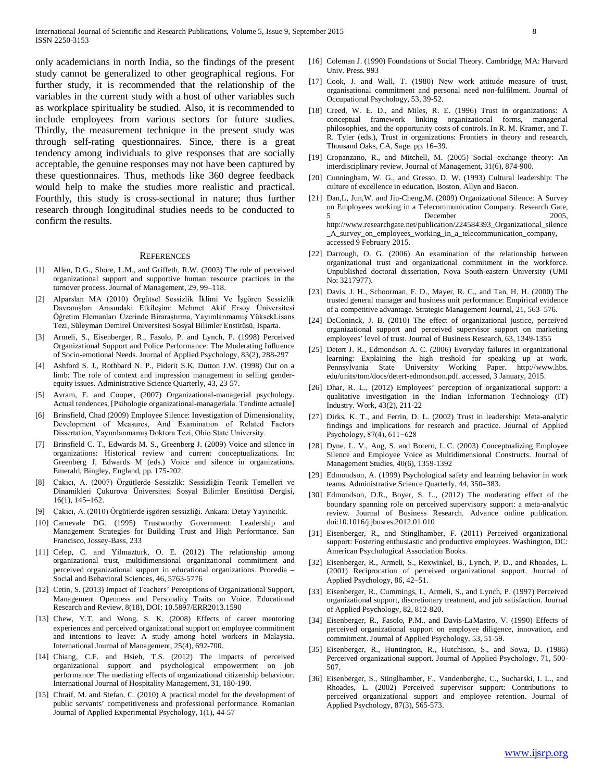only academicians in north India, so the findings of the present study cannot be generalized to other geographical regions. For further study, it is recommended that the relationship of the variables in the current study with a host of other variables such as workplace spirituality be studied. Also, it is recommended to include employees from various sectors for future studies. Thirdly, the measurement technique in the present study was through self-rating questionnaires. Since, there is a great tendency among individuals to give responses that are socially acceptable, the genuine responses may not have been captured by these questionnaires. Thus, methods like 360 degree feedback would help to make the studies more realistic and practical. Fourthly, this study is cross-sectional in nature; thus further research through longitudinal studies needs to be conducted to confirm the results.

#### **REFERENCES**

- [1] Allen, D.G., Shore, L.M., and Griffeth, R.W. (2003) The role of perceived organizational support and supportive human resource practices in the turnover process. Journal of Management, 29, 99–118.
- [2] Alparslan MA (2010) Örgütsel Sessizlik İklimi Ve İşgören Sessizlik Davranışları Arasındaki Etkileşim: Mehmet Akif Ersoy Üniversitesi Öğretim Elemanları Üzerinde Biraraştırma, Yayımlanmamış YüksekLisans Tezi, Süleyman Demirel Üniversitesi Sosyal Bilimler Enstitüsü, Isparta.
- [3] Armeli, S., Eisenberger, R., Fasolo, P. and Lynch, P. (1998) Perceived Organizational Support and Police Performance: The Moderating Influence of Socio-emotional Needs. Journal of Applied Psychology, 83(2), 288-297
- [4] Ashford S. J., Rothbard N. P., Piderit S.K, Dutton J.W. (1998) Out on a limb: The role of context and impression management in selling genderequity issues. Administrative Science Quarterly, 43, 23-57.
- [5] Avram, E. and Cooper, (2007) Organizational-managerial psychology. Actual tendences, [Psihologie organizational-manageriala. Tendinte actuale]
- [6] Brinsfield, Chad (2009) Employee Silence: Investigation of Dimensionality, Development of Measures, And Examinatıon of Related Factors Dissertation, Yayımlanmamış Doktora Tezi, Ohio State University.
- [7] Brinsfield C. T., Edwards M. S., Greenberg J. (2009) Voice and silence in organizations: Historical review and current conceptualizations. In: Greenberg J, Edwards M (eds.) Voice and silence in organizations. Emerald, Bingley, England, pp. 175-202.
- [8] Çakıcı, A. (2007) Örgütlerde Sessizlik: Sessizliğin Teorik Temelleri ve Dinamikleri Çukurova Üniversitesi Sosyal Bilimler Enstitüsü Dergisi, 16(1), 145–162.
- [9] Çakıcı, A. (2010) Örgütlerde işgören sessizliği. Ankara: Detay Yayıncılık.
- [10] Carnevale DG. (1995) Trustworthy Government: Leadership and Management Strategies for Building Trust and High Performance. San Francisco, Jossey-Bass, 233
- [11] Celep, C. and Yilmazturk, O. E. (2012) The relationship among organizational trust, multidimensional organizational commitment and perceived organizational support in educational organizations. Procedia – Social and Behavioral Sciences, 46, 5763-5776
- [12] Cetin, S. (2013) Impact of Teachers' Perceptions of Organizational Support, Management Openness and Personality Traits on Voice. Educational Research and Review, 8(18), DOI: 10.5897/ERR2013.1590
- [13] Chew, Y.T. and Wong, S. K. (2008) Effects of career mentoring experiences and perceived organizational support on employee commitment and intentions to leave: A study among hotel workers in Malaysia. International Journal of Management, 25(4), 692-700.
- [14] Chiang, C.F. and Hsieh, T.S. (2012) The impacts of perceived organizational support and psychological empowerment on job performance: The mediating effects of organizational citizenship behaviour. International Journal of Hospitality Management, 31, 180-190.
- [15] Chraif, M. and Stefan, C. (2010) A practical model for the development of public servants' competitiveness and professional performance. Romanian Journal of Applied Experimental Psychology, 1(1), 44-57
- [16] Coleman J. (1990) Foundations of Social Theory. Cambridge, MA: Harvard Univ. Press. 993
- [17] Cook, J. and Wall, T. (1980) New work attitude measure of trust, organisational commitment and personal need non-fulfilment. Journal of Occupational Psychology, 53, 39-52.
- [18] Creed, W. E. D., and Miles, R. E. (1996) Trust in organizations: A conceptual framework linking organizational forms, managerial philosophies, and the opportunity costs of controls. In R. M. Kramer, and T. R. Tyler (eds.), Trust in organizations: Frontiers in theory and research, Thousand Oaks, CA, Sage. pp. 16–39.
- [19] Cropanzano, R., and Mitchell, M. (2005) Social exchange theory: An interdisciplinary review. Journal of Management, 31(6), 874-900.
- [20] Cunningham, W. G., and Gresso, D. W. (1993) Cultural leadership: The culture of excellence in education, Boston, Allyn and Bacon.
- [21] Dan,L, Jun,W. and Jiu-Cheng,M. (2009) Organizational Silence: A Survey on Employees working in a Telecommunication Company. Research Gate, December 2005, http://www.researchgate.net/publication/224584393\_Organizational\_silence \_A\_survey\_on\_employees\_working\_in\_a\_telecommunication\_company, accessed 9 February 2015.
- [22] Darrough, O. G. (2006) An examination of the relationship between organizational trust and organizational commitment in the workforce. Unpublished doctoral dissertation, Nova South-eastern University (UMI No: 3217977).
- [23] Davis, J. H., Schoorman, F. D., Mayer, R. C., and Tan, H. H. (2000) The trusted general manager and business unit performance: Empirical evidence of a competitive advantage. Strategic Management Journal, 21, 563–576.
- [24] DeConinck, J. B. (2010) The effect of organizational justice, perceived organizational support and perceived supervisor support on marketing employees' level of trust. Journal of Business Research, 63, 1349-1355
- [25] Detert J. R., Edmondson A. C. (2006) Everyday failures in organizational learning: Explaining the high treshold for speaking up at work. Pennsylvania State University Working Paper. http://www.hbs. edu/units/tom/docs/detert-edmondson.pdf. accessed, 3 January, 2015.
- [26] Dhar, R. L., (2012) Employees' perception of organizational support: a qualitative investigation in the Indian Information Technology (IT) Industry. Work, 43(2), 211-22
- [27] Dirks, K. T., and Ferrin, D. L. (2002) Trust in leadership: Meta-analytic findings and implications for research and practice. Journal of Applied Psychology, 87(4), 611−628
- [28] Dyne, L. V., Ang, S. and Botero, I. C. (2003) Conceptualizing Employee Silence and Employee Voice as Multidimensional Constructs. Journal of Management Studies, 40(6), 1359-1392
- [29] Edmondson, A. (1999) Psychological safety and learning behavior in work teams. Administrative Science Quarterly, 44, 350–383.
- [30] Edmondson, D.R., Boyer, S. L., (2012) The moderating effect of the boundary spanning role on perceived supervisory support: a meta-analytic review. Journal of Business Research. Advance online publication. doi:10.1016/j.jbusres.2012.01.010
- [31] Eisenberger, R., and Stinglhamber, F. (2011) Perceived organizational support: Fostering enthusiastic and productive employees. Washington, DC: American Psychological Association Books.
- [32] Eisenberger, R., Armeli, S., Rexwinkel, B., Lynch, P. D., and Rhoades, L. (2001) Reciprocation of perceived organizational support. Journal of Applied Psychology, 86, 42–51.
- [33] Eisenberger, R., Cummings, I., Armeli, S., and Lynch, P. (1997) Perceived organizational support, discretionary treatment, and job satisfaction. Journal of Applied Psychology, 82, 812-820.
- [34] Eisenberger, R., Fasolo, P.M., and Davis-LaMastro, V. (1990) Effects of perceived organizational support on employee diligence, innovation, and commitment. Journal of Applied Psychology, 53, 51-59.
- [35] Eisenberger, R., Huntington, R., Hutchison, S., and Sowa, D. (1986) Perceived organizational support. Journal of Applied Psychology, 71, 500- 507.
- [36] Eisenberger, S., Stinglhamber, F., Vandenberghe, C., Sucharski, I. L., and Rhoades, L. (2002) Perceived supervisor support: Contributions to perceived organizational support and employee retention. Journal of Applied Psychology, 87(3), 565-573.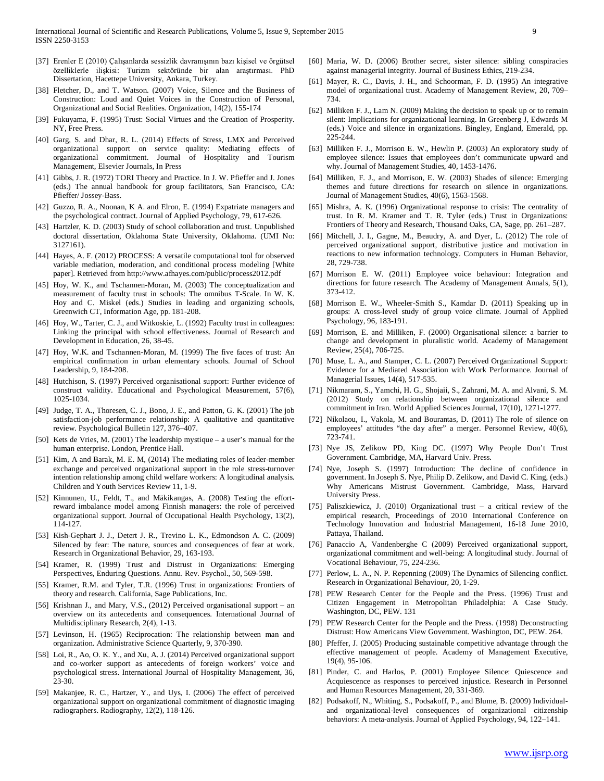- [37] Erenler E (2010) Çalışanlarda sessizlik davranışının bazı kişisel ve örgütsel özelliklerle ilişkisi: Turizm sektöründe bir alan araştırması. PhD Dissertation, Hacettepe University, Ankara, Turkey.
- [38] Fletcher, D., and T. Watson. (2007) Voice, Silence and the Business of Construction: Loud and Quiet Voices in the Construction of Personal, Organizational and Social Realities. Organization, 14(2), 155-174
- [39] Fukuyama, F. (1995) Trust: Social Virtues and the Creation of Prosperity. NY, Free Press.
- [40] Garg, S. and Dhar, R. L. (2014) Effects of Stress, LMX and Perceived organizational support on service quality: Mediating effects of organizational commitment. Journal of Hospitality and Tourism Management, Elsevier Journals, In Press
- [41] Gibbs, J. R. (1972) TORI Theory and Practice. In J. W. Pfieffer and J. Jones (eds.) The annual handbook for group facilitators, San Francisco, CA: Pfieffer/ Jossey-Bass.
- [42] Guzzo, R. A., Noonan, K A. and Elron, E. (1994) Expatriate managers and the psychological contract. Journal of Applied Psychology, 79, 617-626.
- [43] Hartzler, K. D. (2003) Study of school collaboration and trust. Unpublished doctoral dissertation, Oklahoma State University, Oklahoma. (UMI No: 3127161).
- [44] Hayes, A. F. (2012) PROCESS: A versatile computational tool for observed variable mediation, moderation, and conditional process modeling [White paper]. Retrieved from http://www.afhayes.com/public/process2012.pdf
- [45] Hoy, W. K., and Tschannen-Moran, M. (2003) The conceptualization and measurement of faculty trust in schools: The omnibus T-Scale. In W. K. Hoy and C. Miskel (eds.) Studies in leading and organizing schools, Greenwich CT, Information Age, pp. 181-208.
- [46] Hoy, W., Tarter, C. J., and Witkoskie, L. (1992) Faculty trust in colleagues: Linking the principal with school effectiveness. Journal of Research and Development in Education, 26, 38-45.
- [47] Hoy, W.K. and Tschannen-Moran, M. (1999) The five faces of trust: An empirical confirmation in urban elementary schools. Journal of School Leadership, 9, 184-208.
- [48] Hutchison, S. (1997) Perceived organisational support: Further evidence of construct validity. Educational and Psychological Measurement, 57(6), 1025-1034.
- [49] Judge, T. A., Thoresen, C. J., Bono, J. E., and Patton, G. K. (2001) The job satisfaction-job performance relationship: A qualitative and quantitative review. Psychological Bulletin 127, 376–407.
- [50] Kets de Vries, M. (2001) The leadership mystique a user's manual for the human enterprise. London, Prentice Hall.
- [51] Kim, A and Barak, M. E. M, (2014) The mediating roles of leader-member exchange and perceived organizational support in the role stress-turnover intention relationship among child welfare workers: A longitudinal analysis. Children and Youth Services Review 11, 1-9.
- [52] Kinnunen, U., Feldt, T., and Mäkikangas, A. (2008) Testing the effortreward imbalance model among Finnish managers: the role of perceived organizational support. Journal of Occupational Health Psychology, 13(2), 114-127.
- [53] Kish-Gephart J. J., Detert J. R., Trevino L. K., Edmondson A. C. (2009) Silenced by fear: The nature, sources and consequences of fear at work. Research in Organizational Behavior, 29, 163-193.
- [54] Kramer, R. (1999) Trust and Distrust in Organizations: Emerging Perspectives, Enduring Questions. Annu. Rev. Psychol., 50, 569-598.
- [55] Kramer, R.M. and Tyler, T.R. (1996) Trust in organizations: Frontiers of theory and research. California, Sage Publications, Inc.
- [56] Krishnan J., and Mary, V.S., (2012) Perceived organisational support an overview on its antecedents and consequences. International Journal of Multidisciplinary Research, 2(4), 1-13.
- [57] Levinson, H. (1965) Reciprocation: The relationship between man and organization. Administrative Science Quarterly, 9, 370-390.
- [58] Loi, R., Ao, O. K. Y., and Xu, A. J. (2014) Perceived organizational support and co-worker support as antecedents of foreign workers' voice and psychological stress. International Journal of Hospitality Management, 36, 23-30.
- [59] Makanjee, R. C., Hartzer, Y., and Uys, I. (2006) The effect of perceived organizational support on organizational commitment of diagnostic imaging radiographers. Radiography, 12(2), 118-126.
- [60] Maria, W. D. (2006) Brother secret, sister silence: sibling conspiracies against managerial integrity. Journal of Business Ethics, 219-234.
- [61] Mayer, R. C., Davis, J. H., and Schoorman, F. D. (1995) An integrative model of organizational trust. Academy of Management Review, 20, 709– 734.
- [62] Milliken F. J., Lam N. (2009) Making the decision to speak up or to remain silent: Implications for organizational learning. In Greenberg J, Edwards M (eds.) Voice and silence in organizations. Bingley, England, Emerald, pp. 225-244.
- [63] Milliken F. J., Morrison E. W., Hewlin P. (2003) An exploratory study of employee silence: Issues that employees don't communicate upward and why. Journal of Management Studies, 40, 1453-1476.
- [64] Milliken, F. J., and Morrison, E. W. (2003) Shades of silence: Emerging themes and future directions for research on silence in organizations. Journal of Management Studies, 40(6), 1563-1568.
- [65] Mishra, A. K. (1996) Organizational response to crisis: The centrality of trust. In R. M. Kramer and T. R. Tyler (eds.) Trust in Organizations: Frontiers of Theory and Research, Thousand Oaks, CA, Sage, pp. 261–287.
- [66] Mitchell, J. I., Gagne, M., Beaudry, A. and Dyer, L. (2012) The role of perceived organizational support, distributive justice and motivation in reactions to new information technology. Computers in Human Behavior, 28, 729-738.
- [67] Morrison E. W. (2011) Employee voice behaviour: Integration and directions for future research. The Academy of Management Annals, 5(1), 373-412.
- [68] Morrison E. W., Wheeler-Smith S., Kamdar D. (2011) Speaking up in groups: A cross-level study of group voice climate. Journal of Applied Psychology, 96, 183-191.
- [69] Morrison, E. and Milliken, F. (2000) Organisational silence: a barrier to change and development in pluralistic world. Academy of Management Review, 25(4), 706-725.
- [70] Muse, L. A., and Stamper, C. L. (2007) Perceived Organizational Support: Evidence for a Mediated Association with Work Performance. Journal of Managerial Issues, 14(4), 517-535.
- [71] Nikmaram, S., Yamchi, H. G., Shojaii, S., Zahrani, M. A. and Alvani, S. M. (2012) Study on relationship between organizational silence and commitment in Iran. World Applied Sciences Journal, 17(10), 1271-1277.
- [72] Nikolaou, I., Vakola, M. and Bourantas, D. (2011) The role of silence on employees' attitudes "the day after" a merger. Personnel Review, 40(6), 723-741.
- [73] Nye JS, Zelikow PD, King DC. (1997) Why People Don't Trust Government. Cambridge, MA, Harvard Univ. Press.
- [74] Nye, Joseph S. (1997) Introduction: The decline of confidence in government. In Joseph S. Nye, Philip D. Zelikow, and David C. King, (eds.) Why Americans Mistrust Government. Cambridge, Mass, Harvard University Press.
- [75] Paliszkiewicz, J. (2010) Organizational trust a critical review of the empirical research, Proceedings of 2010 International Conference on Technology Innovation and Industrial Management, 16-18 June 2010, Pattaya, Thailand.
- [76] Panaccio A, Vandenberghe C (2009) Perceived organizational support, organizational commitment and well-being: A longitudinal study. Journal of Vocational Behaviour, 75, 224-236.
- [77] Perlow, L. A., N. P. Repenning (2009) The Dynamics of Silencing conflict. Research in Organizational Behaviour, 20, 1-29.
- [78] PEW Research Center for the People and the Press. (1996) Trust and Citizen Engagement in Metropolitan Philadelphia: A Case Study. Washington, DC, PEW. 131
- [79] PEW Research Center for the People and the Press. (1998) Deconstructing Distrust: How Americans View Government. Washington, DC, PEW. 264.
- [80] Pfeffer, J. (2005) Producing sustainable competitive advantage through the effective management of people. Academy of Management Executive, 19(4), 95-106.
- [81] Pinder, C. and Harlos, P. (2001) Employee Silence: Quiescence and Acquiescence as responses to perceived injustice. Research in Personnel and Human Resources Management, 20, 331-369.
- [82] Podsakoff, N., Whiting, S., Podsakoff, P., and Blume, B. (2009) Individualand organizational-level consequences of organizational citizenship behaviors: A meta-analysis. Journal of Applied Psychology, 94, 122–141.